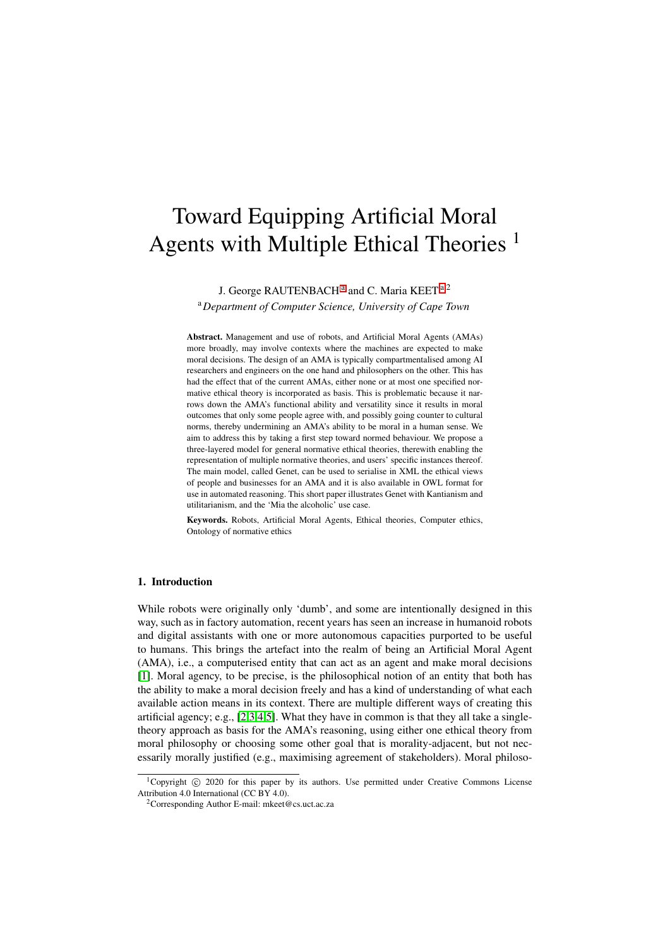# Toward Equipping Artificial Moral Agents with Multiple Ethical Theories  $<sup>1</sup>$ </sup>

J. George RAUTENBACH<sup>[a](#page-0-0)</sup> and C. Maria KEET<sup>a,2</sup>

<span id="page-0-0"></span><sup>a</sup>*Department of Computer Science, University of Cape Town*

Abstract. Management and use of robots, and Artificial Moral Agents (AMAs) more broadly, may involve contexts where the machines are expected to make moral decisions. The design of an AMA is typically compartmentalised among AI researchers and engineers on the one hand and philosophers on the other. This has had the effect that of the current AMAs, either none or at most one specified normative ethical theory is incorporated as basis. This is problematic because it narrows down the AMA's functional ability and versatility since it results in moral outcomes that only some people agree with, and possibly going counter to cultural norms, thereby undermining an AMA's ability to be moral in a human sense. We aim to address this by taking a first step toward normed behaviour. We propose a three-layered model for general normative ethical theories, therewith enabling the representation of multiple normative theories, and users' specific instances thereof. The main model, called Genet, can be used to serialise in XML the ethical views of people and businesses for an AMA and it is also available in OWL format for use in automated reasoning. This short paper illustrates Genet with Kantianism and utilitarianism, and the 'Mia the alcoholic' use case.

Keywords. Robots, Artificial Moral Agents, Ethical theories, Computer ethics, Ontology of normative ethics

## 1. Introduction

While robots were originally only 'dumb', and some are intentionally designed in this way, such as in factory automation, recent years has seen an increase in humanoid robots and digital assistants with one or more autonomous capacities purported to be useful to humans. This brings the artefact into the realm of being an Artificial Moral Agent (AMA), i.e., a computerised entity that can act as an agent and make moral decisions [\[1\]](#page-6-0). Moral agency, to be precise, is the philosophical notion of an entity that both has the ability to make a moral decision freely and has a kind of understanding of what each available action means in its context. There are multiple different ways of creating this artificial agency; e.g., [\[2](#page-6-1)[,3](#page-6-2)[,4,](#page-6-3)[5\]](#page-6-4). What they have in common is that they all take a singletheory approach as basis for the AMA's reasoning, using either one ethical theory from moral philosophy or choosing some other goal that is morality-adjacent, but not necessarily morally justified (e.g., maximising agreement of stakeholders). Moral philoso-

<sup>&</sup>lt;sup>1</sup>Copyright  $\odot$  2020 for this paper by its authors. Use permitted under Creative Commons License Attribution 4.0 International (CC BY 4.0).

<sup>2</sup>Corresponding Author E-mail: mkeet@cs.uct.ac.za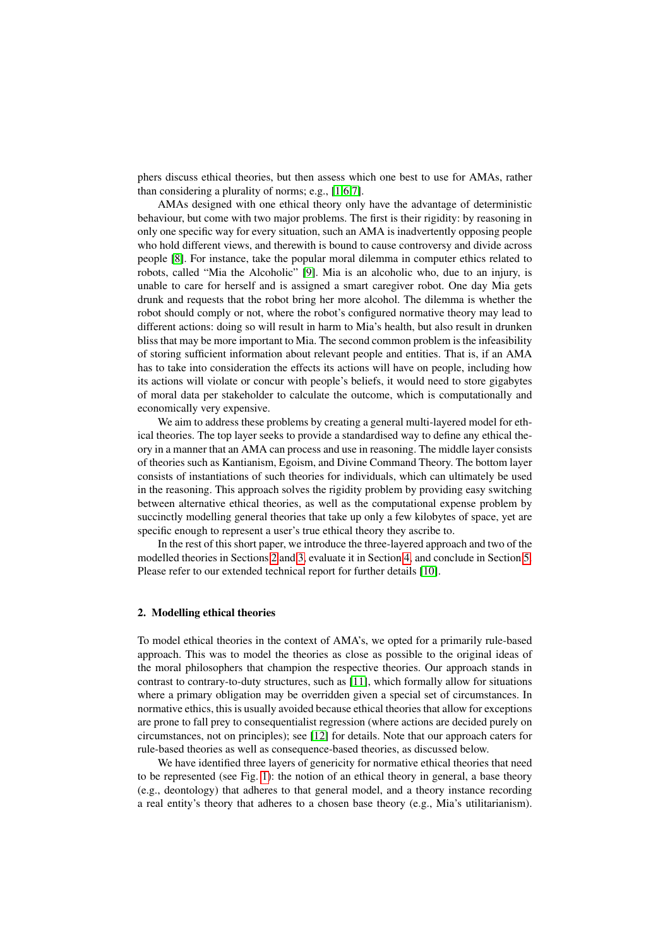phers discuss ethical theories, but then assess which one best to use for AMAs, rather than considering a plurality of norms; e.g., [\[1,](#page-6-0)[6](#page-6-5)[,7\]](#page-6-6).

AMAs designed with one ethical theory only have the advantage of deterministic behaviour, but come with two major problems. The first is their rigidity: by reasoning in only one specific way for every situation, such an AMA is inadvertently opposing people who hold different views, and therewith is bound to cause controversy and divide across people [\[8\]](#page-6-7). For instance, take the popular moral dilemma in computer ethics related to robots, called "Mia the Alcoholic" [\[9\]](#page-6-8). Mia is an alcoholic who, due to an injury, is unable to care for herself and is assigned a smart caregiver robot. One day Mia gets drunk and requests that the robot bring her more alcohol. The dilemma is whether the robot should comply or not, where the robot's configured normative theory may lead to different actions: doing so will result in harm to Mia's health, but also result in drunken bliss that may be more important to Mia. The second common problem is the infeasibility of storing sufficient information about relevant people and entities. That is, if an AMA has to take into consideration the effects its actions will have on people, including how its actions will violate or concur with people's beliefs, it would need to store gigabytes of moral data per stakeholder to calculate the outcome, which is computationally and economically very expensive.

We aim to address these problems by creating a general multi-layered model for ethical theories. The top layer seeks to provide a standardised way to define any ethical theory in a manner that an AMA can process and use in reasoning. The middle layer consists of theories such as Kantianism, Egoism, and Divine Command Theory. The bottom layer consists of instantiations of such theories for individuals, which can ultimately be used in the reasoning. This approach solves the rigidity problem by providing easy switching between alternative ethical theories, as well as the computational expense problem by succinctly modelling general theories that take up only a few kilobytes of space, yet are specific enough to represent a user's true ethical theory they ascribe to.

In the rest of this short paper, we introduce the three-layered approach and two of the modelled theories in Sections [2](#page-1-0) and [3,](#page-3-0) evaluate it in Section [4,](#page-4-0) and conclude in Section [5.](#page-5-0) Please refer to our extended technical report for further details [\[10\]](#page-6-9).

#### <span id="page-1-0"></span>2. Modelling ethical theories

To model ethical theories in the context of AMA's, we opted for a primarily rule-based approach. This was to model the theories as close as possible to the original ideas of the moral philosophers that champion the respective theories. Our approach stands in contrast to contrary-to-duty structures, such as [\[11\]](#page-6-10), which formally allow for situations where a primary obligation may be overridden given a special set of circumstances. In normative ethics, this is usually avoided because ethical theories that allow for exceptions are prone to fall prey to consequentialist regression (where actions are decided purely on circumstances, not on principles); see [\[12\]](#page-6-11) for details. Note that our approach caters for rule-based theories as well as consequence-based theories, as discussed below.

We have identified three layers of genericity for normative ethical theories that need to be represented (see Fig. [1\)](#page-2-0): the notion of an ethical theory in general, a base theory (e.g., deontology) that adheres to that general model, and a theory instance recording a real entity's theory that adheres to a chosen base theory (e.g., Mia's utilitarianism).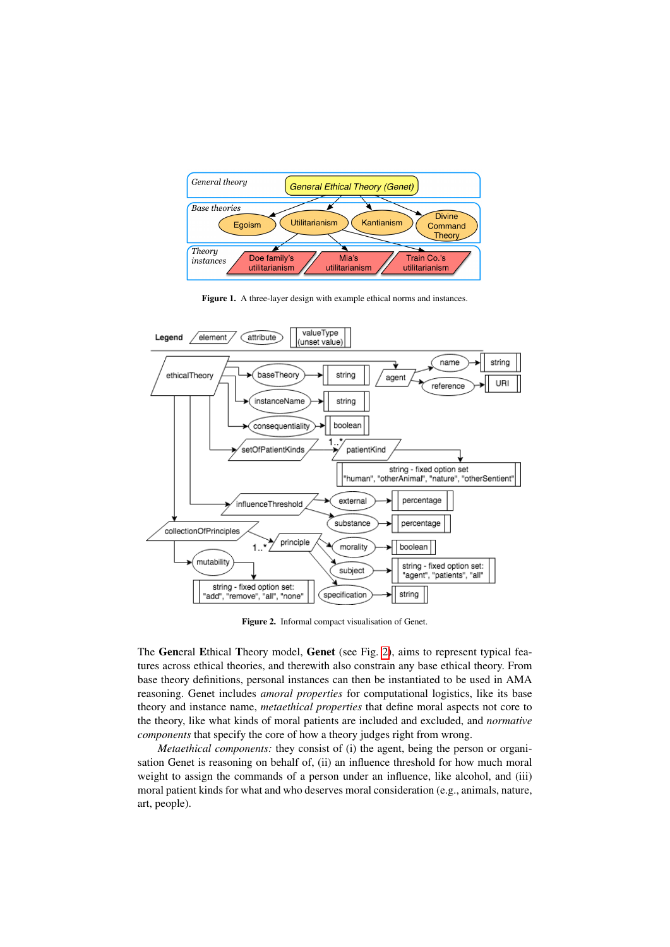

<span id="page-2-0"></span>Figure 1. A three-layer design with example ethical norms and instances.



<span id="page-2-1"></span>Figure 2. Informal compact visualisation of Genet.

The General Ethical Theory model, Genet (see Fig. [2\)](#page-2-1), aims to represent typical features across ethical theories, and therewith also constrain any base ethical theory. From base theory definitions, personal instances can then be instantiated to be used in AMA reasoning. Genet includes *amoral properties* for computational logistics, like its base theory and instance name, *metaethical properties* that define moral aspects not core to the theory, like what kinds of moral patients are included and excluded, and *normative components* that specify the core of how a theory judges right from wrong.

*Metaethical components:* they consist of (i) the agent, being the person or organisation Genet is reasoning on behalf of, (ii) an influence threshold for how much moral weight to assign the commands of a person under an influence, like alcohol, and (iii) moral patient kinds for what and who deserves moral consideration (e.g., animals, nature, art, people).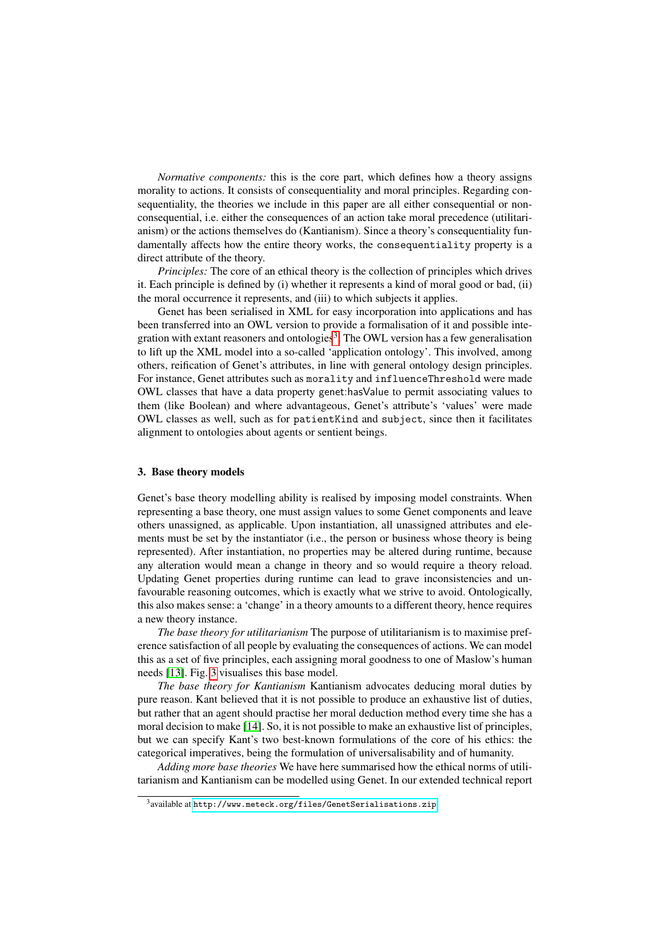*Normative components:* this is the core part, which defines how a theory assigns morality to actions. It consists of consequentiality and moral principles. Regarding consequentiality, the theories we include in this paper are all either consequential or nonconsequential, i.e. either the consequences of an action take moral precedence (utilitarianism) or the actions themselves do (Kantianism). Since a theory's consequentiality fundamentally affects how the entire theory works, the consequentiality property is a direct attribute of the theory.

*Principles:* The core of an ethical theory is the collection of principles which drives it. Each principle is defined by (i) whether it represents a kind of moral good or bad, (ii) the moral occurrence it represents, and (iii) to which subjects it applies.

Genet has been serialised in XML for easy incorporation into applications and has been transferred into an OWL version to provide a formalisation of it and possible inte-gration with extant reasoners and ontologies<sup>[3](#page-3-1)</sup>. The OWL version has a few generalisation to lift up the XML model into a so-called 'application ontology'. This involved, among others, reification of Genet's attributes, in line with general ontology design principles. For instance, Genet attributes such as morality and influenceThreshold were made OWL classes that have a data property genet:hasValue to permit associating values to them (like Boolean) and where advantageous, Genet's attribute's 'values' were made OWL classes as well, such as for patientKind and subject, since then it facilitates alignment to ontologies about agents or sentient beings.

## <span id="page-3-0"></span>3. Base theory models

Genet's base theory modelling ability is realised by imposing model constraints. When representing a base theory, one must assign values to some Genet components and leave others unassigned, as applicable. Upon instantiation, all unassigned attributes and elements must be set by the instantiator (i.e., the person or business whose theory is being represented). After instantiation, no properties may be altered during runtime, because any alteration would mean a change in theory and so would require a theory reload. Updating Genet properties during runtime can lead to grave inconsistencies and unfavourable reasoning outcomes, which is exactly what we strive to avoid. Ontologically, this also makes sense: a 'change' in a theory amounts to a different theory, hence requires a new theory instance.

*The base theory for utilitarianism* The purpose of utilitarianism is to maximise preference satisfaction of all people by evaluating the consequences of actions. We can model this as a set of five principles, each assigning moral goodness to one of Maslow's human needs [\[13\]](#page-6-12). Fig. [3](#page-4-1) visualises this base model.

*The base theory for Kantianism* Kantianism advocates deducing moral duties by pure reason. Kant believed that it is not possible to produce an exhaustive list of duties, but rather that an agent should practise her moral deduction method every time she has a moral decision to make [\[14\]](#page-6-13). So, it is not possible to make an exhaustive list of principles, but we can specify Kant's two best-known formulations of the core of his ethics: the categorical imperatives, being the formulation of universalisability and of humanity.

*Adding more base theories* We have here summarised how the ethical norms of utilitarianism and Kantianism can be modelled using Genet. In our extended technical report

<span id="page-3-1"></span> $^3$ available at <code><http://www.meteck.org/files/GenetSerialisations.zip></code>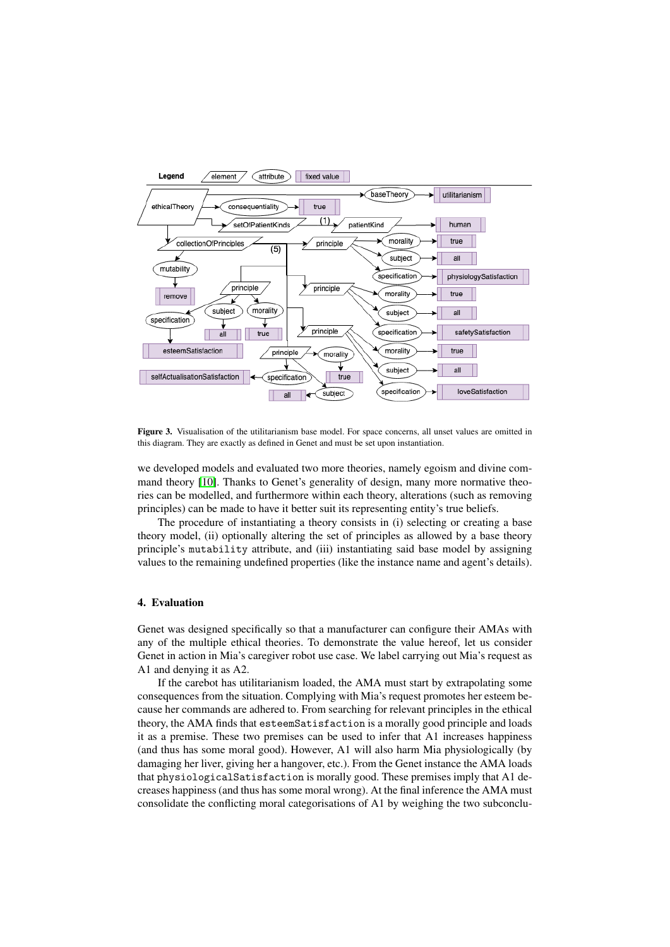

<span id="page-4-1"></span>Figure 3. Visualisation of the utilitarianism base model. For space concerns, all unset values are omitted in this diagram. They are exactly as defined in Genet and must be set upon instantiation.

we developed models and evaluated two more theories, namely egoism and divine command theory [\[10\]](#page-6-9). Thanks to Genet's generality of design, many more normative theories can be modelled, and furthermore within each theory, alterations (such as removing principles) can be made to have it better suit its representing entity's true beliefs.

The procedure of instantiating a theory consists in (i) selecting or creating a base theory model, (ii) optionally altering the set of principles as allowed by a base theory principle's mutability attribute, and (iii) instantiating said base model by assigning values to the remaining undefined properties (like the instance name and agent's details).

#### <span id="page-4-0"></span>4. Evaluation

Genet was designed specifically so that a manufacturer can configure their AMAs with any of the multiple ethical theories. To demonstrate the value hereof, let us consider Genet in action in Mia's caregiver robot use case. We label carrying out Mia's request as A1 and denying it as A2.

If the carebot has utilitarianism loaded, the AMA must start by extrapolating some consequences from the situation. Complying with Mia's request promotes her esteem because her commands are adhered to. From searching for relevant principles in the ethical theory, the AMA finds that esteemSatisfaction is a morally good principle and loads it as a premise. These two premises can be used to infer that A1 increases happiness (and thus has some moral good). However, A1 will also harm Mia physiologically (by damaging her liver, giving her a hangover, etc.). From the Genet instance the AMA loads that physiologicalSatisfaction is morally good. These premises imply that A1 decreases happiness (and thus has some moral wrong). At the final inference the AMA must consolidate the conflicting moral categorisations of A1 by weighing the two subconclu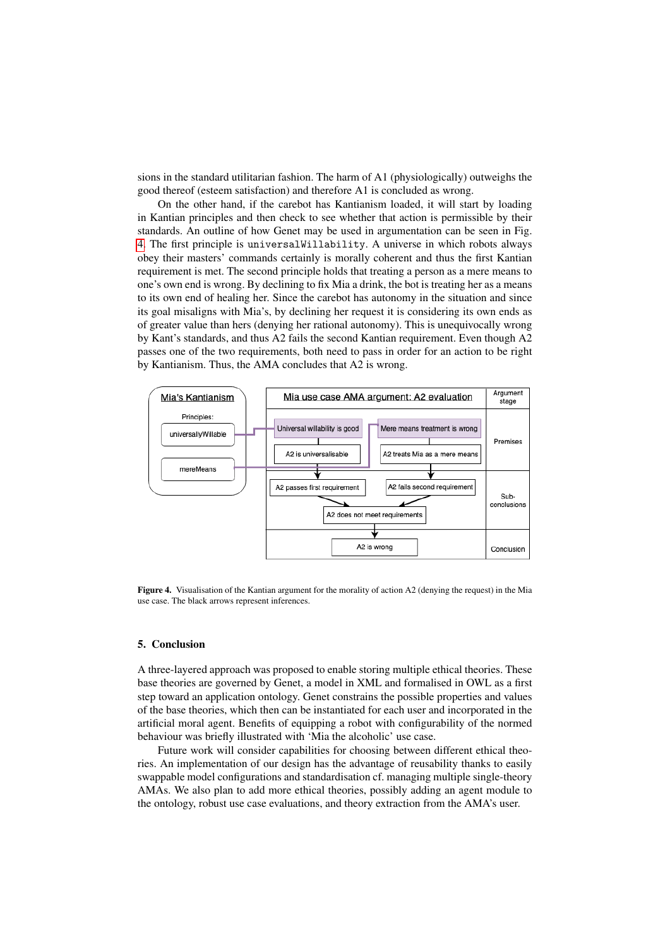sions in the standard utilitarian fashion. The harm of A1 (physiologically) outweighs the good thereof (esteem satisfaction) and therefore A1 is concluded as wrong.

On the other hand, if the carebot has Kantianism loaded, it will start by loading in Kantian principles and then check to see whether that action is permissible by their standards. An outline of how Genet may be used in argumentation can be seen in Fig. [4.](#page-5-1) The first principle is universalWillability. A universe in which robots always obey their masters' commands certainly is morally coherent and thus the first Kantian requirement is met. The second principle holds that treating a person as a mere means to one's own end is wrong. By declining to fix Mia a drink, the bot is treating her as a means to its own end of healing her. Since the carebot has autonomy in the situation and since its goal misaligns with Mia's, by declining her request it is considering its own ends as of greater value than hers (denying her rational autonomy). This is unequivocally wrong by Kant's standards, and thus A2 fails the second Kantian requirement. Even though A2 passes one of the two requirements, both need to pass in order for an action to be right by Kantianism. Thus, the AMA concludes that A2 is wrong.



<span id="page-5-1"></span>Figure 4. Visualisation of the Kantian argument for the morality of action A2 (denying the request) in the Mia use case. The black arrows represent inferences.

#### <span id="page-5-0"></span>5. Conclusion

A three-layered approach was proposed to enable storing multiple ethical theories. These base theories are governed by Genet, a model in XML and formalised in OWL as a first step toward an application ontology. Genet constrains the possible properties and values of the base theories, which then can be instantiated for each user and incorporated in the artificial moral agent. Benefits of equipping a robot with configurability of the normed behaviour was briefly illustrated with 'Mia the alcoholic' use case.

Future work will consider capabilities for choosing between different ethical theories. An implementation of our design has the advantage of reusability thanks to easily swappable model configurations and standardisation cf. managing multiple single-theory AMAs. We also plan to add more ethical theories, possibly adding an agent module to the ontology, robust use case evaluations, and theory extraction from the AMA's user.